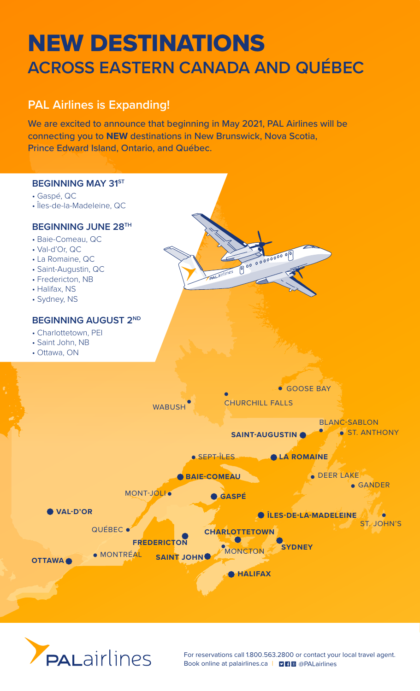# NEW DESTINATIONS **ACROSS EASTERN CANADA AND QUÉBEC**

# **PAL Airlines is Expanding!**

We are excited to announce that beginning in May 2021, PAL Airlines will be connecting you to **NEW** destinations in New Brunswick, Nova Scotia, Prince Edward Island, Ontario, and Québec.